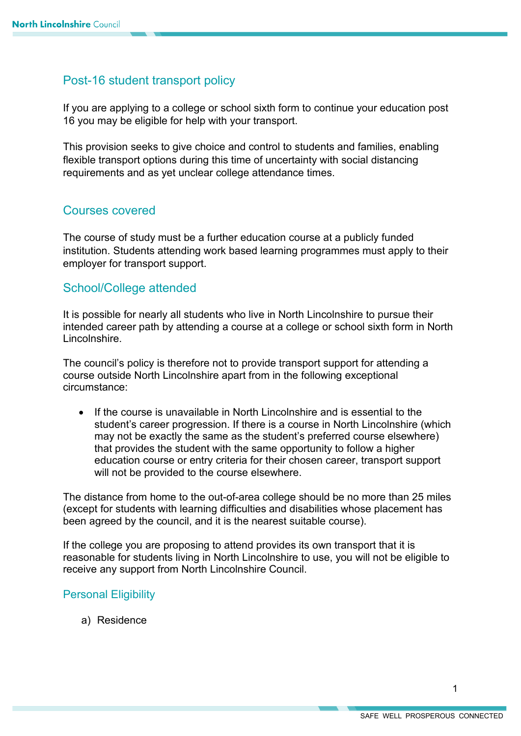# Post-16 student transport policy

If you are applying to a college or school sixth form to continue your education post 16 you may be eligible for help with your transport.

This provision seeks to give choice and control to students and families, enabling flexible transport options during this time of uncertainty with social distancing requirements and as yet unclear college attendance times.

## Courses covered

The course of study must be a further education course at a publicly funded institution. Students attending work based learning programmes must apply to their employer for transport support.

## School/College attended

It is possible for nearly all students who live in North Lincolnshire to pursue their intended career path by attending a course at a college or school sixth form in North Lincolnshire.

The council's policy is therefore not to provide transport support for attending a course outside North Lincolnshire apart from in the following exceptional circumstance:

• If the course is unavailable in North Lincolnshire and is essential to the student's career progression. If there is a course in North Lincolnshire (which may not be exactly the same as the student's preferred course elsewhere) that provides the student with the same opportunity to follow a higher education course or entry criteria for their chosen career, transport support will not be provided to the course elsewhere.

The distance from home to the out-of-area college should be no more than 25 miles (except for students with learning difficulties and disabilities whose placement has been agreed by the council, and it is the nearest suitable course).

If the college you are proposing to attend provides its own transport that it is reasonable for students living in North Lincolnshire to use, you will not be eligible to receive any support from North Lincolnshire Council.

### Personal Eligibility

a) Residence